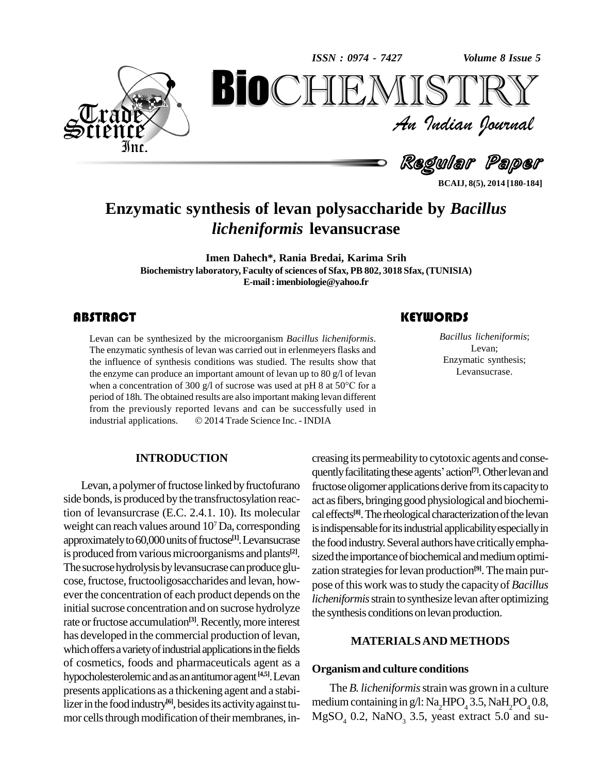*Volume 8 Issue 5*



*Volume 8 Issue 5*<br> $\begin{array}{c} \bigcirc \mathbb{T} \mathbb{R} \mathbb{Y} \end{array}$ **BioCHEMISTRY**<br>An Indian Iournal<br>Regular Paper<br>thesis of levan polysaccharide by *Bacillus*<br>licheniformis levansucrase

Regular Paper

**BCAIJ, 8(5), 2014 [180-184]**

# **Enzymatic synthesis of levan polysaccharide by** *Bacillus licheniformis* **levansucrase**

**Imen Dahech\*, Rania Bredai, Karima Srih Biochemistry** laboratory, Faculty of sciences of Sfax, PB 802, 3018 Sfax, (TUNISIA) **E-mail:[imenbiologie@yahoo.fr](mailto:imenbiologie@yahoo.fr)**

Levan can be synthesize<br>The enzymatic synthesis of<br>the influence of synthesis Levan can be synthesized by the microorganism *Bacillus licheniformis*. The enzymatic synthesis of levan was carried out in erlenmeyers flasks and the influence of synthesis conditions was studied. The results show that the enzyme can produce an important amount of levan up to 80 g/l of levan when a concentration of 300 g/l of sucrose was used at pH 8 at 50°C for a period of 18h. The obtained results are also important making levan different<br>from the previously reported levans and can be successfully used in<br>industrial applications. © 2014 Trade Science Inc. - INDIA from the previously reported levans and can be successfully used in

#### **INTRODUCTION**

Levan, a polymer of fructose linked by fructofurano side bonds, is produced by the transfructosylation reaction of levansurcrase (E.C. 2.4.1. 10). Its molecular weight can reach values around 10<sup>7</sup> Da, corresponding is indist approximately to 60,000 units of fructose<sup>[1]</sup>. Levansucrase the foc is produced from various microorganisms and plants<sup>[2]</sup>. siz The sucrose hydrolysis by levansucrase can produce glucose,fructose,fructooligosaccharides and levan, how ever the concentration of each product depends on the initial sucrose concentration and on sucrose hydrolyze rate or fructose accumulation<sup>[3]</sup>. Recently, more interest has developed in the commercial production of levan, which offers a variety of industrial applications in the fields of cosmetics, foods and pharmaceuticals agent as a hypocholesterolemicandasanantitumoragent **[4,5]**.Levan lizer in the food industry<sup>[6]</sup>, besides its activity against tu-<br>med mor cells through modification of their membranes, in-

### **KEYWORDS**

Bacillus lichenifo<br>
Levan;<br>
Enzymatic synthe *Bacillus licheniformis*; Levan; Enzymatic synthesis; Levansucrase.

creasing its permeability to cytotoxic agents and consecreasing its permeability to cytotoxic agents and consequently facilitating these agents' action<sup>[7]</sup>. Other levan and fructose oligomer applications derive from its capacity to act as fibers, bringing good physiological and biochemical effects<sup>[8]</sup>. The rheological characterization of the levan is indispensable for its industrial applicability especially in the food industry. Several authors have critically emphasized the importance of biochemical and medium optimization strategies for levan production<sup>[9]</sup>. The main purpose ofthis work wasto study the capacityof *Bacillus licheniformis*strain tosynthesize levan after optimizing the synthesis conditions on levan production.

#### **MATERIALSAND METHODS**

#### **Organismand culture conditions**

presents applications as a thickening agent and a stabi-<br>lizer in the food industry<sup>[6]</sup>, besides its activity against tu-<br>medium containing in g/l: Na<sub>2</sub>HPO<sub>4</sub> 3.5, NaH<sub>2</sub>PO<sub>4</sub> 0.8, The *B. licheniformis*strain was grown in a culture  $MgSO<sub>4</sub>$  0.2, NaNO<sub>3</sub> 3.5, yeast extract 5.0 and su-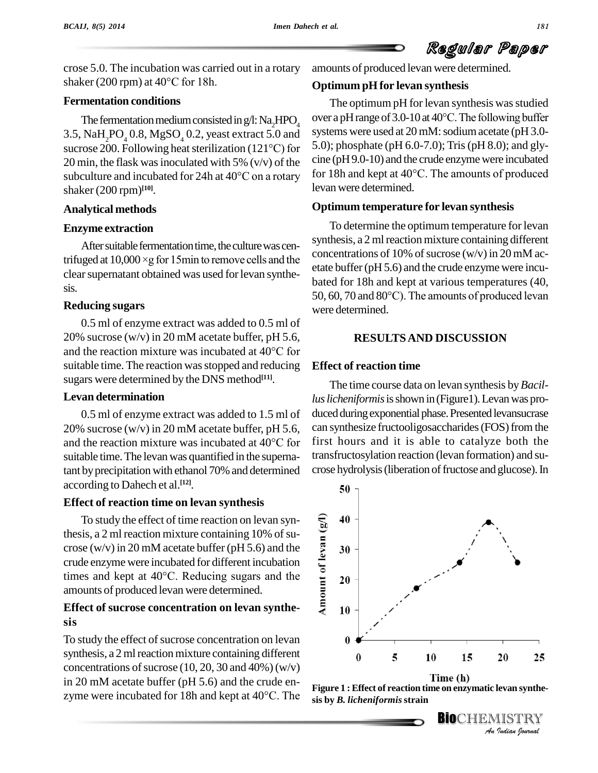$$
\frac{18}{2}
$$

crose 5.0. The incubation was carried out in a rotary crose 5.0. The incubation was carried of<br>shaker (200 rpm) at 40°C for 18h.

#### **Fermentation conditions**

The fermentation medium consisted in  $g/l$ : Na<sub>2</sub>HPO<sub>4</sub> 3.5, NaH<sub>2</sub>PO<sub>4</sub> 0.8, MgSO<sub>4</sub> 0.2, yeast extract 5.0 and system The fermentation medium consisted in g/l:  $\text{Na}_2\text{HPO}_4$  ove<br>3.5,  $\text{NaH}_2\text{PO}_4$  0.8,  $\text{MgSO}_4$  0.2, yeast extract 5.0 and syst<br>sucrose 200. Following heat sterilization (121°C) for 5.0) 20 min, the flask was inoculated with 5% (v/v) of the cine (pH 9.0-10) and the crude enzyme were incubated<br>subculture and incubated for 24h at 40°C on a rotary for 18h and kept at 40°C. The amounts of produced sucrose 200. Following heat sterilization (121°C) for 20 min, the flask was inoculated with 5% ( $v/v$ ) of the subculture and incubated for 24h at 40°C on a rotary shaker (200 rpm) **[10]**.

#### **Analytical methods**

#### **Enzyme extraction**

After suitable fermentation time, the culture was centrifuged at  $10,000 \times g$  for 15min to remove cells and the clear supernatant obtained was used for levan synthesis.

#### **Reducing sugars**

0.5 ml of enzyme extract was added to 0.5 ml of 20% sucrose (w/v) in 20 mM acetate buffer, pH 5.6, 0.5 ml of enzyme extract was added to 0.5 ml of<br>20% sucrose (w/v) in 20 mM acetate buffer, pH 5.6, and the reaction mixture was incubated at  $40^{\circ}$ C for suitable time. The reaction was stopped and reducing sugars were determined by the DNS method **[11]**.

#### **Levan determination**

0.5 ml of enzyme extract was added to 1.5 ml of 20% sucrose  $(w/v)$  in 20 mM acetate buffer, pH 5.6, and the reaction mixture was incubated at <sup>40</sup>°C for suitable time. The levan was quantified in the supernatant by precipitation with ethanol 70% and determined according to Dahech et al. **[12]**.

#### **Effect of reaction time on levan synthesis**

To study the effect of time reaction on levan syn-<br>is, a 2 ml reaction mixture containing 10% of su-<br>se (w/v) in 20 mM acetate buffer (pH 5.6) and the<br>de enzyme were incubated for different incubation<br>es and kept at 40°C. thesis, a  $2$  ml reaction mixture containing  $10\%$  of sucrose (w/v) in 20 mM acetate buffer (pH 5.6) and the<br>crude enzyme were incubated for different incubation<br>times and kept at 40°C. Reducing sugars and the crude enzyme were incubated for different incubation amounts of produced levan were determined.

### **Effect of sucrose concentration on levan synthe sis**

To study the effect of sucrose concentration on levan synthesis, a 2 ml reaction mixture containing different concentrations of sucrose (10, 20, 30 and 40%) (w/v)<br>in 20 mM acetate buffer (pH 5.6) and the crude en-<br>zyme were incubated for 18h and kept at 40°C. The sis by in 20 mM acetate buffer (pH 5.6) and the crude en-

amounts of produced levan were determined.

#### **Optimum pH for levan synthesis**

The optimum pH for levan synthesis was studied over a pH range of 3.0-10 at  $40^{\circ}$ C. The following buffer systems were used at 20 mM: sodium acetate (pH 3.0-5.0); phosphate (pH 6.0-7.0); Tris (pH 8.0); and gly-<br>cine (pH 9.0-10) and the crude enzyme were incubated<br>for 18h and kept at 40°C. The amounts of produced cine (pH9.0-10) and the crude enzymewere incubated levan were determined.

#### **Optimum temperature for levan synthesis**

To determine the optimum temperature for levan synthesis, a 2 ml reaction mixture containing different concentrations of 10% of sucrose  $(w/v)$  in 20 mM acetate buffer (pH 5.6) and the crude enzyme were incu-<br>bated for 18h and kept at various temperatures (40,<br>50, 60, 70 and 80°C). The amounts of produced levan bated for 18h and kept at various temperatures (40, were determined.

#### **RESULTSAND DISCUSSION**

#### **Effect of reaction time**

The time course data on levan synthesis by*Bacilluslicheniformis*isshown in(Figure1).Levanwas pro duced during exponential phase. Presented levansucrase can synthesize fructooligosaccharides (FOS) from the first hours and it is able to catalyze both the transfructosylation reaction (levan formation) and su crose hydrolysis (liberation of fructose and glucose). In



**Figure 1 :Effect of reaction time on enzymatic levan synthe sis by** *B. licheniformis***strain**

**BIO**CHEMISTRY<br>Aa <sup>(fadian fourwal)</sup>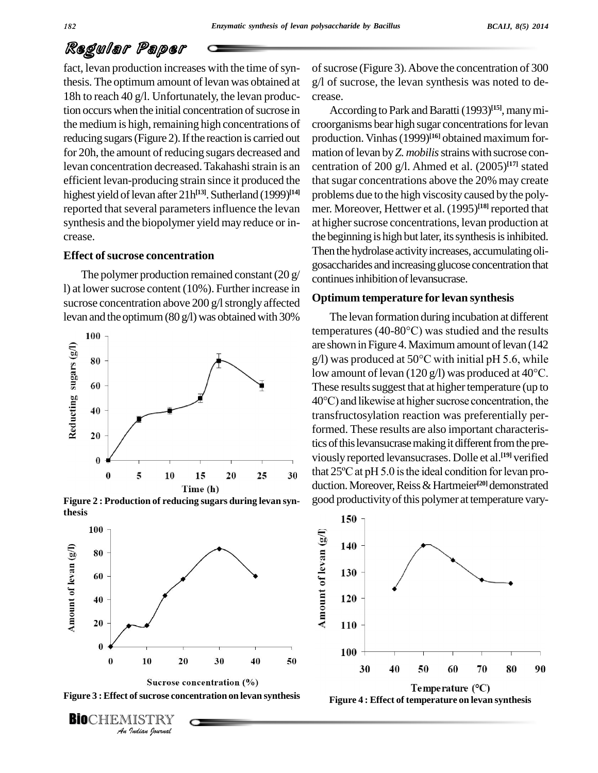fact, levan production increases with the time of synthesis. The optimum amount of levan was obtained at 18h to reach 40 g/l. Unfortunately, the levan production occurs when the initial concentration of sucrose in the medium is high, remaining high concentrations of reducing sugars (Figure 2). If the reaction is carried out for 20h, the amount of reducing sugars decreased and levan concentration decreased. Takahashi strain is an efficient levan-producing strain since it produced the highest yield of levan after 21h<sup>[13]</sup>. Sutherland (1999)<sup>[14]</sup> p reported that several parameters influence the levan synthesis and the biopolymer yield may reduce or in crease.

#### **Effect** of sucrose concentration

The polymer production remained constant  $(20 g)$ l) at lower sucrose content (10%). Further increase in sucrose concentration above 200 g/l strongly affected levan and the optimum  $(80 \text{ g/l})$  was obtained with 30%



**thesis**

100 Amount of levan (g/l) 80 60 40 20  $\bf{0}$ *AnIndian*<br>*Indian*<br>*I*<br>*Indian hournal<br><i>Indian hournal* 30  $\bf{0}$ 40 50



**BIO**CHEMISTRY<br>An Indian Iournal

of sucrose (Figure 3). Above the concentration of 300 g/l of sucrose, the levan synthesis was noted to de crease.

According to Park and Baratti (1993)<sup>[15]</sup>, many microorganisms bear high sugar concentrationsforlevan production. Vinhas (1999)<sup>[16]</sup> obtained maximum formation of levan by Z. mobilis strains with sucrose concentration of 200 g/l. Ahmed et al. (2005) **[17]** stated that sugar concentrations above the 20% may create problems due to the high viscosity caused bythe poly mer. Moreover, Hettwer et al. (1995) **[18]** reported that at higher sucrose concentrations, levan production at the beginning is high but later, its synthesis is inhibited. Then the hydrolase activity increases, accumulating oligosaccharides andincreasingglucose concentrationthat continues inhibition of levansucrase.

#### **Optimum temperature for levan synthesis**

The levan formation during incubation at different **Optimum temperature for levan synthesis**<br>The levan formation during incubation at different<br>temperatures  $(40-80^{\circ}\text{C})$  was studied and the results are shown in Figure 4. Maximum amount of levan (142) temperatures (40-80°C) was studied and the results<br>are shown in Figure 4. Maximum amount of levan (142<br>g/l) was produced at 50°C with initial pH 5.6, while are shown in Figure 4. Maximum amount of levan (142 g/l) was produced at 50°C with initial pH 5.6, while<br>low amount of levan (120 g/l) was produced at 40°C. These results suggest that at higher temperature (up to low amount of levan (120 g/l) was produced at 40°C.<br>These results suggest that at higher temperature (up to<br>40°C) and likewise at higher sucrose concentration, the transfructosylation reaction was preferentially performed. These results are also important characteristics of this levansucrase making it different from the previously reported levansucrases. Dolle et al. **[19]** verified that 25°C at pH 5.0 is the ideal condition for levan production.Moreover,Reiss&Hartmeier **[20]** demonstrated **Figure 2 : Production of reducing sugars during levan syn-** good productivityofthis polymer at temperature vary-



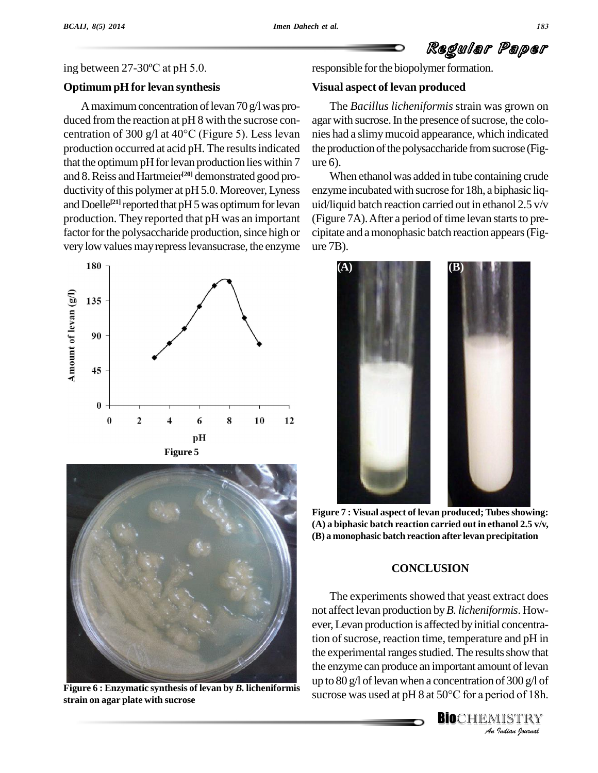#### ing between 27-30ºC at pH 5.0.

#### **Optimum pH forlevan synthesis**

A maximum concentration of levan  $70$  g/l was produced from the reaction at pH 8 with the sucrose con- A maximum concentration of levan 70 g/l was pro-<br>duced from the reaction at pH 8 with the sucrose con-<br>centration of 300 g/l at  $40^{\circ}$ C (Figure 5). Less levan nies ha production occurred at acid pH. The resultsindicated that the optimum pH for levan production lies within 7 and 8.Reiss and Hartmeier **[20]** demonstrated good pro ductivity of this polymer at pH 5.0. Moreover, Lyness and Doelle<sup>[21]</sup> reported that pH5 was optimum for levan uid/liqu production. They reported that pH was an important factor for the polysaccharide production, since high or verylowvaluesmayrepresslevansucrase, the enzyme





**strain on agar plate with sucrose**

responsible for the biopolymer formation.

#### **Visual aspect of levan produced**

The *Bacillus licheniformis* strain was grown on agar with sucrose. In the presence of sucrose, the colonies had a slimymucoid appearance, which indicated the production of the polysaccharide from sucrose (Figure 6).

When ethanol was added in tube containing crude enzyme incubatedwith sucrose for 18h, a biphasic liq uid/liquid batch reaction carried out in ethanol 2.5 v/v (Figure 7A). After a period of time levan starts to precipitate and amonophasic batch reaction appears(Fig ure 7B).



**Figure 7 : Visual aspect of levan produced; Tubesshowing: (A) a biphasic batch reaction carried out in ethanol 2.5 v/v, (B) a monophasic batch reaction after levan precipitation**

#### **CONCLUSION**

the experimental ranges studied. The results show that<br>
the enzyme can produce an important amount of levan<br>
up to 80 g/l of levan when a concentration of 300 g/l of<br>
sucrose was used at pH 8 at 50°C for a period of 18h.<br> **Figure** 6: **Enzymatic synthesis of levan by** *B***. licheniformis**<br>sucrose was used at pH 8 at 50°C for a period of 18h. The experiments showed that yeast extract does not affect levan production by*B. licheniformis*. How ever, Levan production is affected by initial concentration of sucrose, reaction time, temperature and pH in the enzyme can produce an important amount of levan<br>up to 80 g/l of levan when a concentration of 300 g/l of<br>sucrose was used at pH 8 at 50°C for a period of 18h. up to 80 g/l of levan when a concentration of 300 g/l of